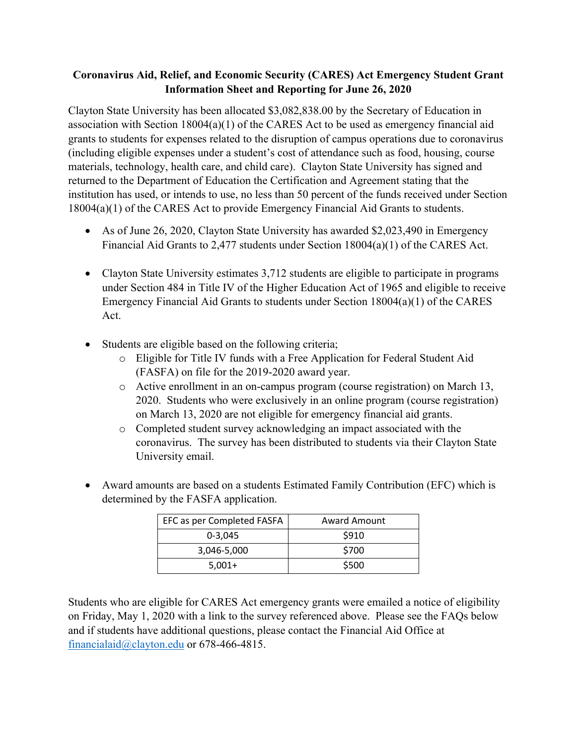## **Coronavirus Aid, Relief, and Economic Security (CARES) Act Emergency Student Grant Information Sheet and Reporting for June 26, 2020**

Clayton State University has been allocated \$3,082,838.00 by the Secretary of Education in association with Section 18004(a)(1) of the CARES Act to be used as emergency financial aid grants to students for expenses related to the disruption of campus operations due to coronavirus (including eligible expenses under a student's cost of attendance such as food, housing, course materials, technology, health care, and child care). Clayton State University has signed and returned to the Department of Education the Certification and Agreement stating that the institution has used, or intends to use, no less than 50 percent of the funds received under Section 18004(a)(1) of the CARES Act to provide Emergency Financial Aid Grants to students.

- As of June 26, 2020, Clayton State University has awarded \$2,023,490 in Emergency Financial Aid Grants to 2,477 students under Section 18004(a)(1) of the CARES Act.
- Clayton State University estimates 3,712 students are eligible to participate in programs under Section 484 in Title IV of the Higher Education Act of 1965 and eligible to receive Emergency Financial Aid Grants to students under Section 18004(a)(1) of the CARES Act.
- Students are eligible based on the following criteria;
	- o Eligible for Title IV funds with a Free Application for Federal Student Aid (FASFA) on file for the 2019-2020 award year.
	- o Active enrollment in an on-campus program (course registration) on March 13, 2020. Students who were exclusively in an online program (course registration) on March 13, 2020 are not eligible for emergency financial aid grants.
	- o Completed student survey acknowledging an impact associated with the coronavirus. The survey has been distributed to students via their Clayton State University email.
- Award amounts are based on a students Estimated Family Contribution (EFC) which is determined by the FASFA application.

| EFC as per Completed FASFA | Award Amount |
|----------------------------|--------------|
| $0 - 3.045$                | \$910        |
| 3,046-5,000                | \$700        |
| $5.001+$                   | \$500        |

Students who are eligible for CARES Act emergency grants were emailed a notice of eligibility on Friday, May 1, 2020 with a link to the survey referenced above. Please see the FAQs below and if students have additional questions, please contact the Financial Aid Office at financialaid@clayton.edu or 678-466-4815.